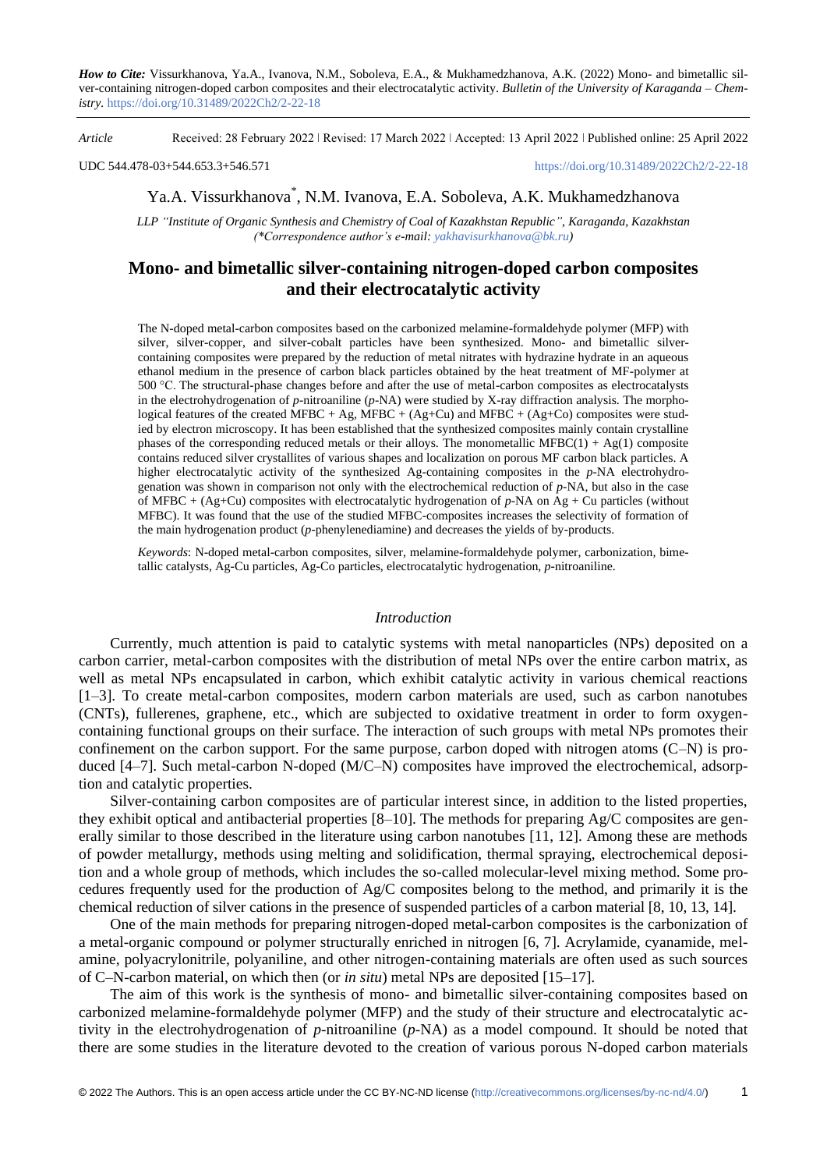*How to Cite:* Vissurkhanova, Ya.A., Ivanova, N.M., Soboleva, E.A., & Mukhamedzhanova, A.K. (2022) Mono- and bimetallic silver-containing nitrogen-doped carbon composites and their electrocatalytic activity. *Bulletin of the University of Karaganda – Chemistry.* https://doi.org/10.31489/2022Ch2/2-22-18

*Article* Received: 28 February 2022 ǀ Revised: 17 March 2022 ǀ Accepted: 13 April 2022 ǀ Published online: 25 April 2022

UDC 544.478-03+544.653.3+546.571

# Ya.A. Vissurkhanova\* , N.M. Ivanova, E.A. Soboleva, A.K. Mukhamedzhanova

*LLP "Institute of Organic Synthesis and Chemistry of Coal of Kazakhstan Republic", Karaganda, Kazakhstan (\*Correspondence author's e-mail: [yakhavisurkhanova@bk.ru\)](mailto:yakhavisurkhanova@bk.ru)*

## **Mono- and bimetallic silver-containing nitrogen-doped carbon composites and their electrocatalytic activity**

The N-doped metal-carbon composites based on the carbonized melamine-formaldehyde polymer (MFP) with silver, silver-copper, and silver-cobalt particles have been synthesized. Mono- and bimetallic silvercontaining composites were prepared by the reduction of metal nitrates with hydrazine hydrate in an aqueous ethanol medium in the presence of carbon black particles obtained by the heat treatment of MF-polymer at 500 °C. The structural-phase changes before and after the use of metal-carbon composites as electrocatalysts in the electrohydrogenation of *p*-nitroaniline (*p*-NA) were studied by X-ray diffraction analysis. The morphological features of the created MFBC + Ag, MFBC + (Ag+Cu) and MFBC + (Ag+Co) composites were studied by electron microscopy. It has been established that the synthesized composites mainly contain crystalline phases of the corresponding reduced metals or their alloys. The monometallic MFBC $(1) + Ag(1)$  composite contains reduced silver crystallites of various shapes and localization on porous MF carbon black particles. A higher electrocatalytic activity of the synthesized Ag-containing composites in the *p*-NA electrohydrogenation was shown in comparison not only with the electrochemical reduction of *p*-NA, but also in the case of MFBC + (Ag+Cu) composites with electrocatalytic hydrogenation of *p*-NA on Ag + Cu particles (without MFBC). It was found that the use of the studied MFBC-composites increases the selectivity of formation of the main hydrogenation product (*p*-phenylenediamine) and decreases the yields of by-products.

*Keywords*: N-doped metal-carbon composites, silver, melamine-formaldehyde polymer, carbonization, bimetallic catalysts, Ag-Cu particles, Ag-Co particles, electrocatalytic hydrogenation, *p*-nitroaniline.

### *Introduction*

Currently, much attention is paid to catalytic systems with metal nanoparticles (NPs) deposited on a carbon carrier, metal-carbon composites with the distribution of metal NPs over the entire carbon matrix, as well as metal NPs encapsulated in carbon, which exhibit catalytic activity in various chemical reactions [1–3]. To create metal-carbon composites, modern carbon materials are used, such as carbon nanotubes (CNTs), fullerenes, graphene, etc., which are subjected to oxidative treatment in order to form oxygencontaining functional groups on their surface. The interaction of such groups with metal NPs promotes their confinement on the carbon support. For the same purpose, carbon doped with nitrogen atoms (C–N) is produced [4–7]. Such metal-carbon N-doped (M/C–N) composites have improved the electrochemical, adsorption and catalytic properties.

Silver-containing carbon composites are of particular interest since, in addition to the listed properties, they exhibit optical and antibacterial properties  $[8-10]$ . The methods for preparing  $Ag/C$  composites are generally similar to those described in the literature using carbon nanotubes [11, 12]. Among these are methods of powder metallurgy, methods using melting and solidification, thermal spraying, electrochemical deposition and a whole group of methods, which includes the so-called molecular-level mixing method. Some procedures frequently used for the production of Ag/C composites belong to the method, and primarily it is the chemical reduction of silver cations in the presence of suspended particles of a carbon material [8, 10, 13, 14].

One of the main methods for preparing nitrogen-doped metal-carbon composites is the carbonization of a metal-organic compound or polymer structurally enriched in nitrogen [6, 7]. Acrylamide, cyanamide, melamine, polyacrylonitrile, polyaniline, and other nitrogen-containing materials are often used as such sources of C–N-carbon material, on which then (or *in situ*) metal NPs are deposited [15–17].

The aim of this work is the synthesis of mono- and bimetallic silver-containing composites based on carbonized melamine-formaldehyde polymer (MFP) and the study of their structure and electrocatalytic activity in the electrohydrogenation of *p*-nitroaniline (*p*-NA) as a model compound. It should be noted that there are some studies in the literature devoted to the creation of various porous N-doped carbon materials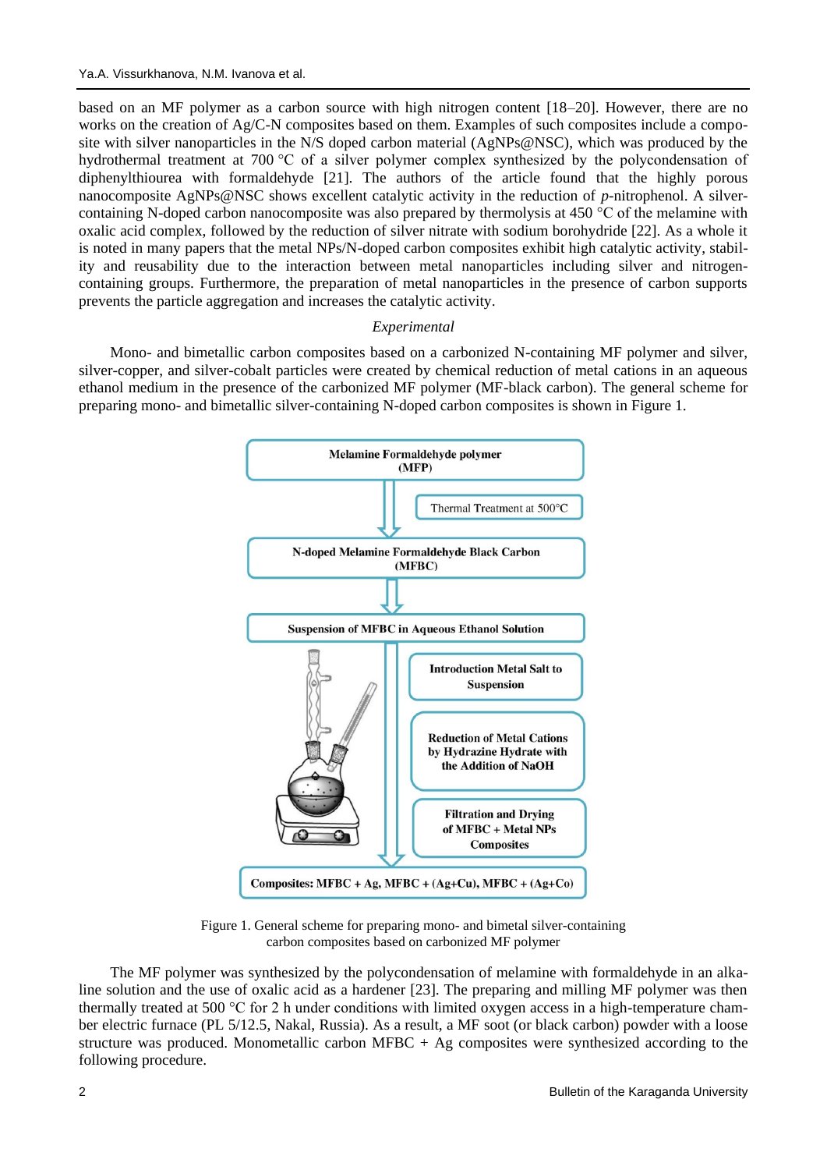based on an MF polymer as a carbon source with high nitrogen content [18–20]. However, there are no works on the creation of Ag/C-N composites based on them. Examples of such composites include a composite with silver nanoparticles in the N/S doped carbon material (AgNPs@NSC), which was produced by the hydrothermal treatment at 700 °C of a silver polymer complex synthesized by the polycondensation of diphenylthiourea with formaldehyde [21]. The authors of the article found that the highly porous nanocomposite AgNPs@NSC shows excellent catalytic activity in the reduction of *p*-nitrophenol. A silvercontaining N-doped carbon nanocomposite was also prepared by thermolysis at 450 °C of the melamine with oxalic acid complex, followed by the reduction of silver nitrate with sodium borohydride [22]. As a whole it is noted in many papers that the metal NPs/N-doped carbon composites exhibit high catalytic activity, stability and reusability due to the interaction between metal nanoparticles including silver and nitrogencontaining groups. Furthermore, the preparation of metal nanoparticles in the presence of carbon supports prevents the particle aggregation and increases the catalytic activity.

### *Experimental*

Mono- and bimetallic carbon composites based on a carbonized N-containing MF polymer and silver, silver-copper, and silver-cobalt particles were created by chemical reduction of metal cations in an aqueous ethanol medium in the presence of the carbonized MF polymer (MF-black carbon). The general scheme for preparing mono- and bimetallic silver-containing N-doped carbon composites is shown in Figure 1.



Figure 1. General scheme for preparing mono- and bimetal silver-containing carbon composites based on carbonized MF polymer

The MF polymer was synthesized by the polycondensation of melamine with formaldehyde in an alkaline solution and the use of oxalic acid as a hardener [23]. The preparing and milling MF polymer was then thermally treated at 500 °C for 2 h under conditions with limited oxygen access in a high-temperature chamber electric furnace (PL 5/12.5, Nakal, Russia). As a result, a MF soot (or black carbon) powder with a loose structure was produced. Monometallic carbon MFBC + Ag composites were synthesized according to the following procedure.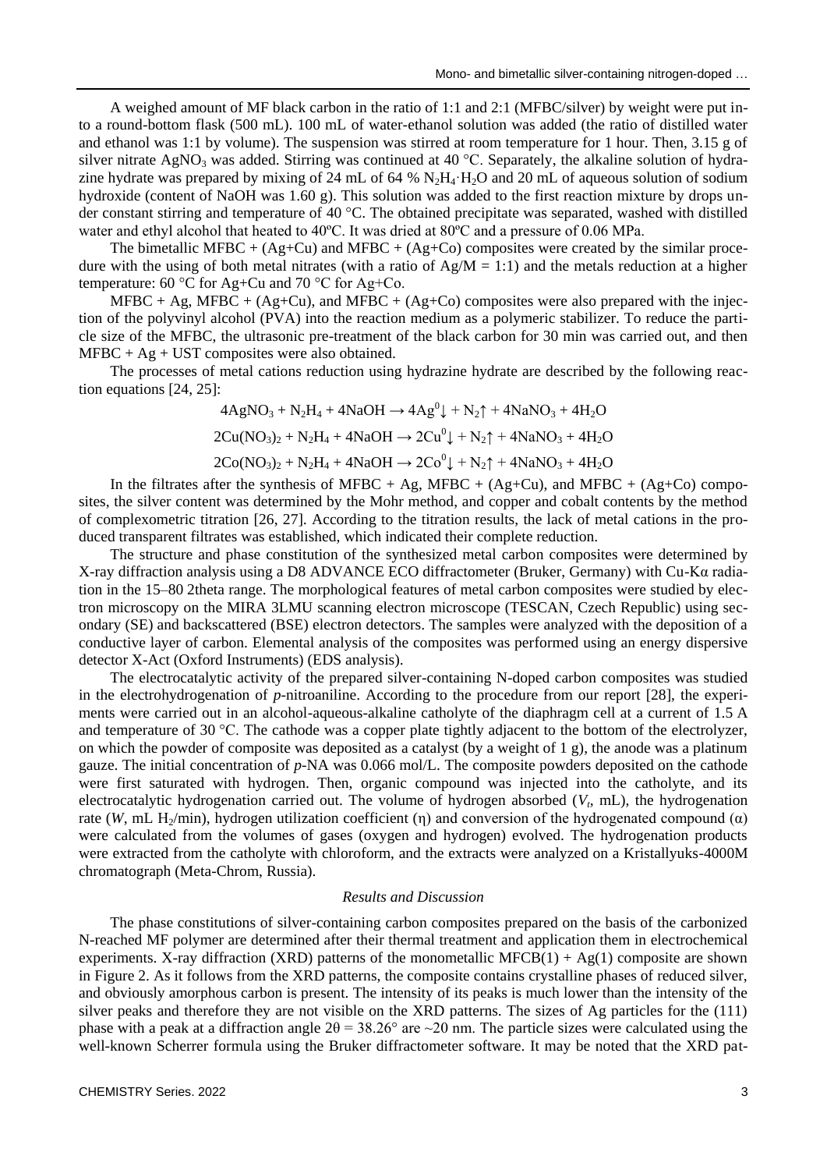A weighed amount of MF black carbon in the ratio of 1:1 and 2:1 (MFBC/silver) by weight were put into a round-bottom flask (500 mL). 100 mL of water-ethanol solution was added (the ratio of distilled water and ethanol was 1:1 by volume). The suspension was stirred at room temperature for 1 hour. Then, 3.15 g of silver nitrate AgNO<sub>3</sub> was added. Stirring was continued at 40 °C. Separately, the alkaline solution of hydrazine hydrate was prepared by mixing of 24 mL of 64 %  $N_2H_4 \cdot H_2O$  and 20 mL of aqueous solution of sodium hydroxide (content of NaOH was 1.60 g). This solution was added to the first reaction mixture by drops under constant stirring and temperature of 40 °C. The obtained precipitate was separated, washed with distilled water and ethyl alcohol that heated to 40ºC. It was dried at 80ºC and a pressure of 0.06 MPa.

The bimetallic MFBC +  $(Ag+Cu)$  and MFBC +  $(Ag+Co)$  composites were created by the similar procedure with the using of both metal nitrates (with a ratio of  $Ag/M = 1:1$ ) and the metals reduction at a higher temperature: 60 °C for Ag+Cu and 70 °C for Ag+Co.

 $MFBC + Ag$ ,  $MFBC + (Ag+Cu)$ , and  $MFBC + (Ag+Co)$  composites were also prepared with the injection of the polyvinyl alcohol (PVA) into the reaction medium as a polymeric stabilizer. To reduce the particle size of the MFBC, the ultrasonic pre-treatment of the black carbon for 30 min was carried out, and then  $MFBC + Ag + UST$  composites were also obtained.

The processes of metal cations reduction using hydrazine hydrate are described by the following reaction equations [24, 25]:

$$
4AgNO_3 + N_2H_4 + 4NaOH \rightarrow 4Ag^0\downarrow + N_2\uparrow + 4NaNO_3 + 4H_2O
$$
  

$$
2Cu(NO_3)_2 + N_2H_4 + 4NaOH \rightarrow 2Cu^0\downarrow + N_2\uparrow + 4NaNO_3 + 4H_2O
$$
  

$$
2Co(NO_3)_2 + N_2H_4 + 4NaOH \rightarrow 2Co^0\downarrow + N_2\uparrow + 4NaNO_3 + 4H_2O
$$

In the filtrates after the synthesis of MFBC + Ag, MFBC + (Ag+Cu), and MFBC + (Ag+Co) composites, the silver content was determined by the Mohr method, and copper and cobalt contents by the method of complexometric titration [26, 27]. According to the titration results, the lack of metal cations in the produced transparent filtrates was established, which indicated their complete reduction.

The structure and phase constitution of the synthesized metal carbon composites were determined by X-ray diffraction analysis using a D8 ADVANCE ECO diffractometer (Bruker, Germany) with Cu-Kα radiation in the 15–80 2theta range. The morphological features of metal carbon composites were studied by electron microscopy on the MIRA 3LMU scanning electron microscope (TESCAN, Czech Republic) using secondary (SE) and backscattered (BSE) electron detectors. The samples were analyzed with the deposition of a conductive layer of carbon. Elemental analysis of the composites was performed using an energy dispersive detector X-Act (Oxford Instruments) (EDS analysis).

The electrocatalytic activity of the prepared silver-containing N-doped carbon composites was studied in the electrohydrogenation of *p*-nitroaniline. According to the procedure from our report [28], the experiments were carried out in an alcohol-aqueous-alkaline catholyte of the diaphragm cell at a current of 1.5 A and temperature of 30 °C. The cathode was a copper plate tightly adjacent to the bottom of the electrolyzer, on which the powder of composite was deposited as a catalyst (by a weight of 1 g), the anode was a platinum gauze. The initial concentration of *p*-NA was 0.066 mol/L. The composite powders deposited on the cathode were first saturated with hydrogen. Then, organic compound was injected into the catholyte, and its electrocatalytic hydrogenation carried out. The volume of hydrogen absorbed  $(V<sub>t</sub>, mL)$ , the hydrogenation rate (*W*, mL H<sub>2</sub>/min), hydrogen utilization coefficient (η) and conversion of the hydrogenated compound (α) were calculated from the volumes of gases (oxygen and hydrogen) evolved. The hydrogenation products were extracted from the catholyte with chloroform, and the extracts were analyzed on a Kristallyuks-4000M chromatograph (Meta-Chrom, Russia).

#### *Results and Discussion*

The phase constitutions of silver-containing carbon composites prepared on the basis of the carbonized N-reached MF polymer are determined after their thermal treatment and application them in electrochemical experiments. X-ray diffraction (XRD) patterns of the monometallic MFCB(1) + Ag(1) composite are shown in Figure 2. As it follows from the XRD patterns, the composite contains crystalline phases of reduced silver, and obviously amorphous carbon is present. The intensity of its peaks is much lower than the intensity of the silver peaks and therefore they are not visible on the XRD patterns. The sizes of Ag particles for the (111) phase with a peak at a diffraction angle  $2\theta = 38.26^{\circ}$  are  $\sim 20$  nm. The particle sizes were calculated using the well-known Scherrer formula using the Bruker diffractometer software. It may be noted that the XRD pat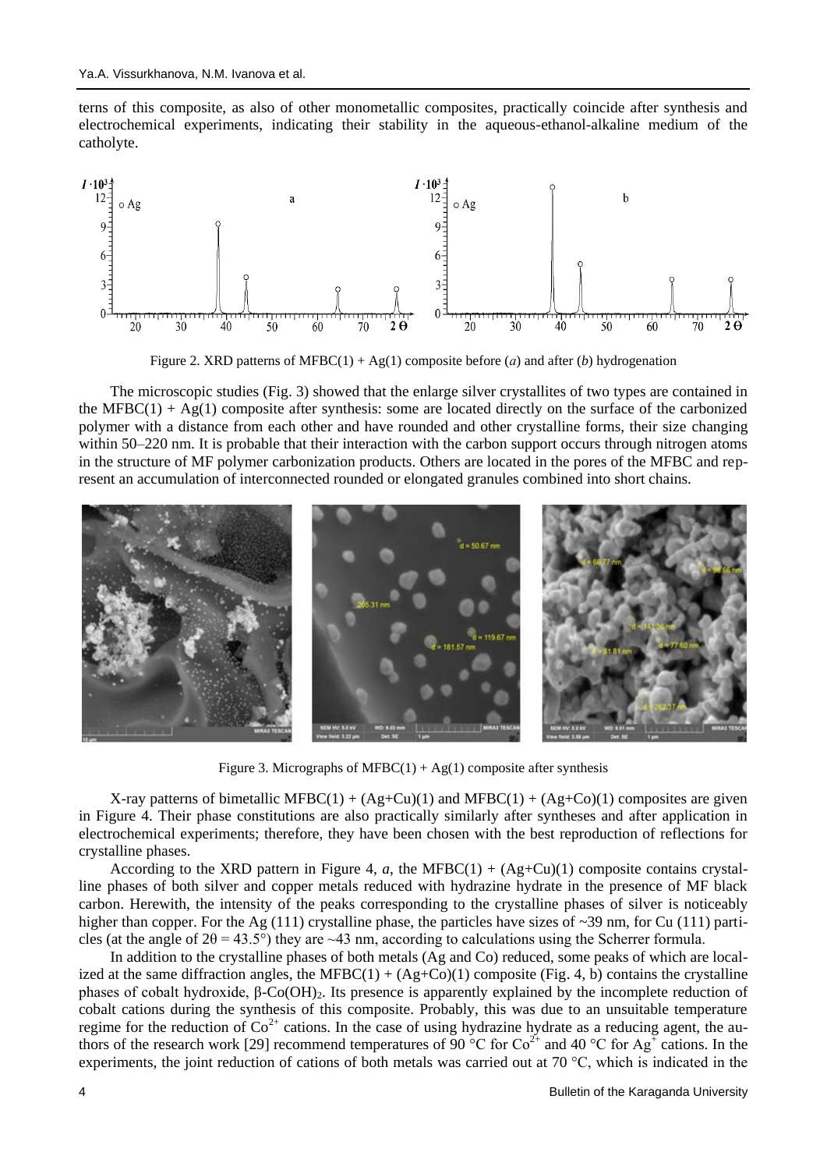terns of this composite, as also of other monometallic composites, practically coincide after synthesis and electrochemical experiments, indicating their stability in the aqueous-ethanol-alkaline medium of the catholyte.



Figure 2. XRD patterns of MFBC(1) + Ag(1) composite before (*а*) and after (*b*) hydrogenation

The microscopic studies (Fig. 3) showed that the enlarge silver crystallites of two types are contained in the MFBC(1) +  $Ag(1)$  composite after synthesis: some are located directly on the surface of the carbonized polymer with a distance from each other and have rounded and other crystalline forms, their size changing within 50–220 nm. It is probable that their interaction with the carbon support occurs through nitrogen atoms in the structure of MF polymer carbonization products. Others are located in the pores of the MFBC and represent an accumulation of interconnected rounded or elongated granules combined into short chains.



Figure 3. Micrographs of MFBC $(1) + Ag(1)$  composite after synthesis

X-ray patterns of bimetallic MFBC(1) +  $(Ag+Cu)(1)$  and MFBC(1) +  $(Ag+Co)(1)$  composites are given in Figure 4. Their phase constitutions are also practically similarly after syntheses and after application in electrochemical experiments; therefore, they have been chosen with the best reproduction of reflections for crystalline phases.

According to the XRD pattern in Figure 4, *a*, the MFBC(1) +  $(Ag+Cu)(1)$  composite contains crystalline phases of both silver and copper metals reduced with hydrazine hydrate in the presence of MF black carbon. Herewith, the intensity of the peaks corresponding to the crystalline phases of silver is noticeably higher than copper. For the Ag (111) crystalline phase, the particles have sizes of  $\sim$ 39 nm, for Cu (111) particles (at the angle of  $2\theta = 43.5^{\circ}$ ) they are ~43 nm, according to calculations using the Scherrer formula.

In addition to the crystalline phases of both metals (Ag and Co) reduced, some peaks of which are localized at the same diffraction angles, the MFBC $(1) + (Ag + Co)(1)$  composite (Fig. 4, b) contains the crystalline phases of cobalt hydroxide,  $β$ -Co(OH)<sub>2</sub>. Its presence is apparently explained by the incomplete reduction of cobalt cations during the synthesis of this composite. Probably, this was due to an unsuitable temperature regime for the reduction of  $Co^{2+}$  cations. In the case of using hydrazine hydrate as a reducing agent, the authors of the research work [29] recommend temperatures of 90  $^{\circ}$ C for Co<sup>2+</sup> and 40  $^{\circ}$ C for Ag<sup>+</sup> cations. In the experiments, the joint reduction of cations of both metals was carried out at 70 °C, which is indicated in the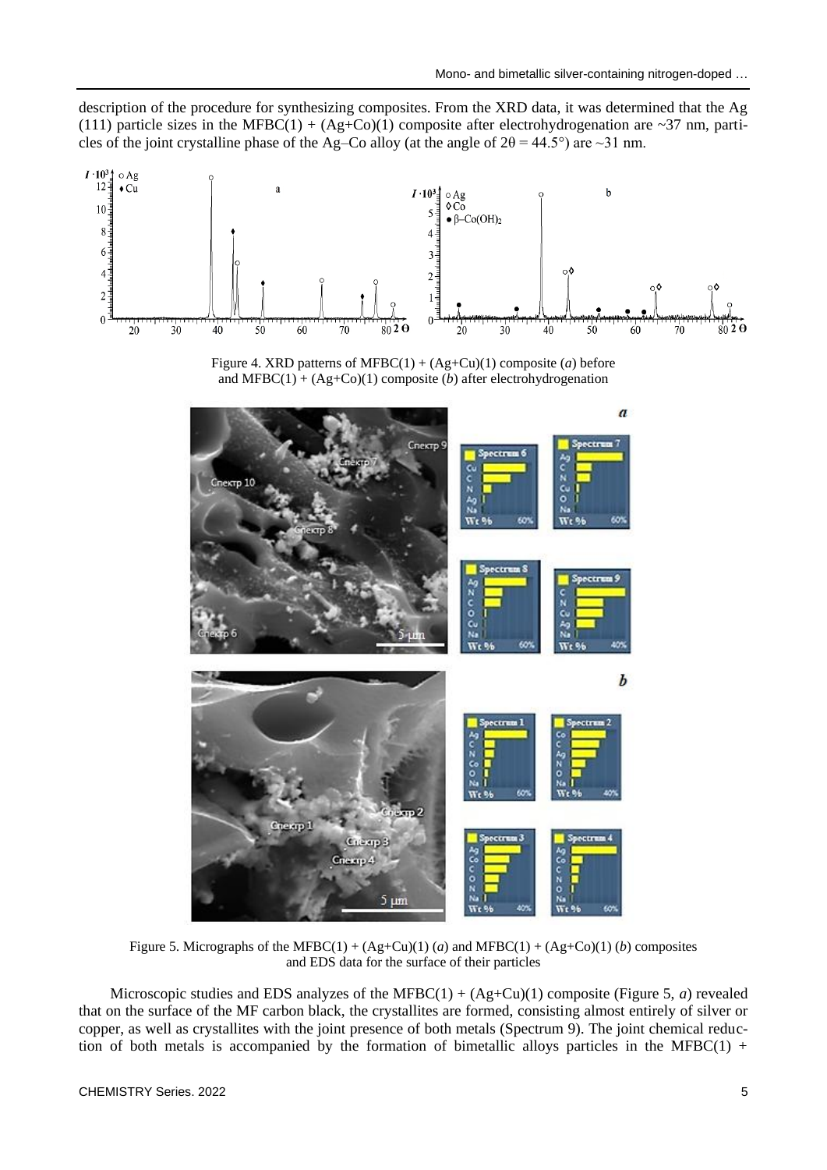description of the procedure for synthesizing composites. From the XRD data, it was determined that the Ag (111) particle sizes in the MFBC(1) + (Ag+Co)(1) composite after electrohydrogenation are ~37 nm, particles of the joint crystalline phase of the Ag–Co alloy (at the angle of  $2\theta = 44.5^{\circ}$ ) are ~31 nm.







Figure 5. Micrographs of the MFBC(1) +  $(Ag+Cu)(1)$  (*a*) and MFBC(1) +  $(Ag+Co)(1)$  (*b*) composites and EDS data for the surface of their particles

Microscopic studies and EDS analyzes of the MFBC $(1) + (Ag + Cu)(1)$  composite (Figure 5, *a*) revealed that on the surface of the MF carbon black, the crystallites are formed, consisting almost entirely of silver or copper, as well as crystallites with the joint presence of both metals (Spectrum 9). The joint chemical reduction of both metals is accompanied by the formation of bimetallic alloys particles in the MFBC $(1)$  +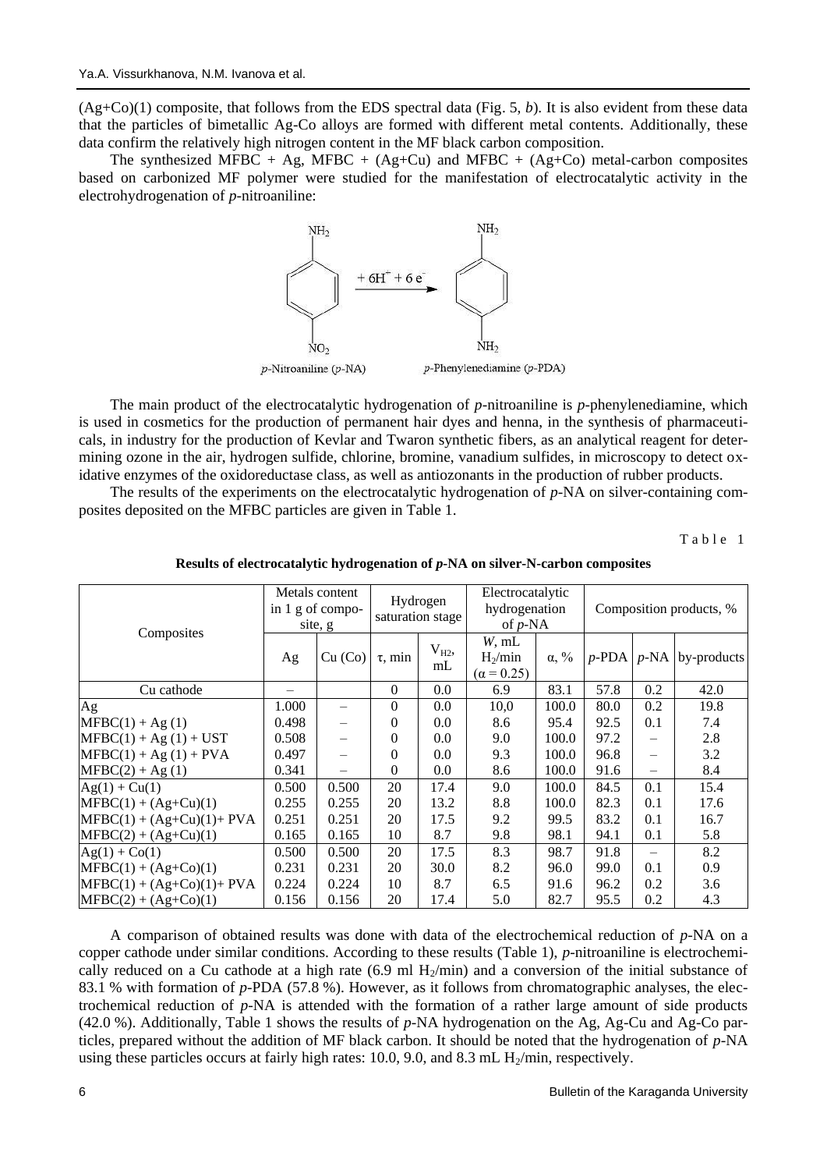(Ag+Co)(1) composite, that follows from the EDS spectral data (Fig. 5, *b*). It is also evident from these data that the particles of bimetallic Ag-Co alloys are formed with different metal contents. Additionally, these data confirm the relatively high nitrogen content in the MF black carbon composition.

The synthesized MFBC + Ag, MFBC +  $(Ag+Cu)$  and MFBC +  $(Ag+Co)$  metal-carbon composites based on carbonized MF polymer were studied for the manifestation of electrocatalytic activity in the electrohydrogenation of *p*-nitroaniline:



The main product of the electrocatalytic hydrogenation of *p*-nitroaniline is *p*-phenylenediamine, which is used in cosmetics for the production of permanent hair dyes and henna, in the synthesis of pharmaceuticals, in industry for the production of Kevlar and Twaron synthetic fibers, as an analytical reagent for determining ozone in the air, hydrogen sulfide, chlorine, bromine, vanadium sulfides, in microscopy to detect oxidative enzymes of the oxidoreductase class, as well as antiozonants in the production of rubber products.

The results of the experiments on the electrocatalytic hydrogenation of *p*-NA on silver-containing composites deposited on the MFBC particles are given in Table 1.

Table 1

| Composites                   | Metals content<br>in $1$ g of compo- |         | Hydrogen<br>saturation stage |                | Electrocatalytic<br>hydrogenation       |              | Composition products, % |                   |                                  |
|------------------------------|--------------------------------------|---------|------------------------------|----------------|-----------------------------------------|--------------|-------------------------|-------------------|----------------------------------|
|                              | site, g                              |         |                              |                | of $p$ -NA                              |              |                         |                   |                                  |
|                              | Ag                                   | Cu (Co) | $\tau$ , min                 | $V_{H2}$<br>mL | W, mL<br>$H_2/min$<br>$(\alpha = 0.25)$ | $\alpha, \%$ |                         |                   | $p$ -PDA   $p$ -NA   by-products |
| Cu cathode                   |                                      |         | $\theta$                     | 0.0            | 6.9                                     | 83.1         | 57.8                    | 0.2               | 42.0                             |
| Ag                           | 1.000                                |         | $\Omega$                     | 0.0            | 10,0                                    | 100.0        | 80.0                    | 0.2               | 19.8                             |
| $MFBC(1) + Ag(1)$            | 0.498                                |         | $\Omega$                     | 0.0            | 8.6                                     | 95.4         | 92.5                    | 0.1               | 7.4                              |
| $MFBC(1) + Ag(1) + UST$      | 0.508                                |         | $\Omega$                     | 0.0            | 9.0                                     | 100.0        | 97.2                    | $\qquad \qquad -$ | 2.8                              |
| $MFBC(1) + Ag(1) + PVA$      | 0.497                                |         | $\Omega$                     | 0.0            | 9.3                                     | 100.0        | 96.8                    | $\qquad \qquad -$ | 3.2                              |
| $MFBC(2) + Ag(1)$            | 0.341                                |         | $\Omega$                     | 0.0            | 8.6                                     | 100.0        | 91.6                    |                   | 8.4                              |
| $Ag(1) + Cu(1)$              | 0.500                                | 0.500   | 20                           | 17.4           | 9.0                                     | 100.0        | 84.5                    | 0.1               | 15.4                             |
| $MFBC(1) + (Ag+Cu)(1)$       | 0.255                                | 0.255   | 20                           | 13.2           | 8.8                                     | 100.0        | 82.3                    | 0.1               | 17.6                             |
| $MFBC(1) + (Ag+Cu)(1) + PVA$ | 0.251                                | 0.251   | 20                           | 17.5           | 9.2                                     | 99.5         | 83.2                    | 0.1               | 16.7                             |
| $MFBC(2) + (Ag+Cu)(1)$       | 0.165                                | 0.165   | 10                           | 8.7            | 9.8                                     | 98.1         | 94.1                    | 0.1               | 5.8                              |
| $Ag(1) + Co(1)$              | 0.500                                | 0.500   | 20                           | 17.5           | 8.3                                     | 98.7         | 91.8                    |                   | 8.2                              |
| $MFBC(1) + (Ag+Co)(1)$       | 0.231                                | 0.231   | 20                           | 30.0           | 8.2                                     | 96.0         | 99.0                    | 0.1               | 0.9                              |
| $MFBC(1) + (Ag+Co)(1) + PVA$ | 0.224                                | 0.224   | 10                           | 8.7            | 6.5                                     | 91.6         | 96.2                    | 0.2               | 3.6                              |
| $MFBC(2) + (Ag+Co)(1)$       | 0.156                                | 0.156   | 20                           | 17.4           | 5.0                                     | 82.7         | 95.5                    | 0.2               | 4.3                              |

**Results of electrocatalytic hydrogenation of** *p***-NA on silver-N-carbon composites**

A comparison of obtained results was done with data of the electrochemical reduction of *p*-NA on a copper cathode under similar conditions. According to these results (Table 1), *p*-nitroaniline is electrochemically reduced on a Cu cathode at a high rate (6.9 ml  $H_2/min$ ) and a conversion of the initial substance of 83.1 % with formation of *p*-PDA (57.8 %). However, as it follows from chromatographic analyses, the electrochemical reduction of *p*-NA is attended with the formation of a rather large amount of side products (42.0 %). Additionally, Table 1 shows the results of *p*-NA hydrogenation on the Ag, Ag-Cu and Ag-Co particles, prepared without the addition of MF black carbon. It should be noted that the hydrogenation of *p*-NA using these particles occurs at fairly high rates: 10.0, 9.0, and 8.3 mL  $H<sub>2</sub>/min$ , respectively.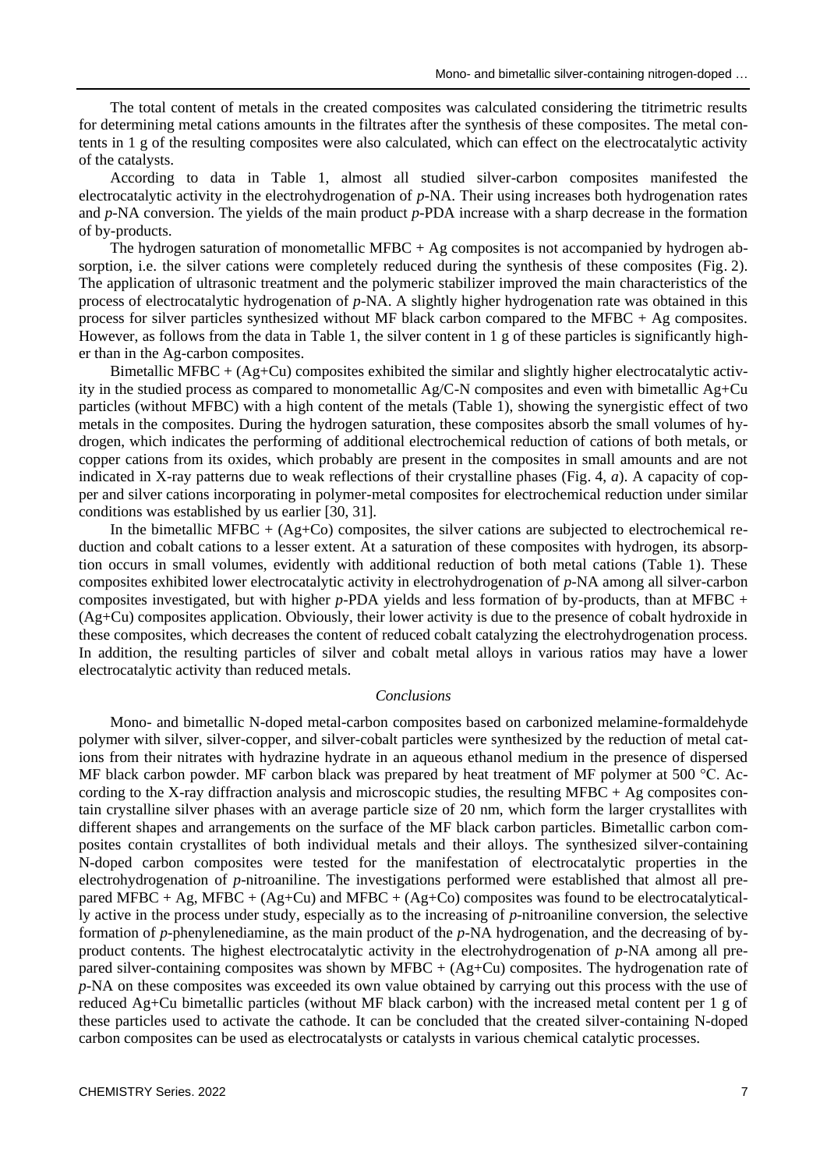The total content of metals in the created composites was calculated considering the titrimetric results for determining metal cations amounts in the filtrates after the synthesis of these composites. The metal contents in 1 g of the resulting composites were also calculated, which can effect on the electrocatalytic activity of the catalysts.

According to data in Table 1, almost all studied silver-carbon composites manifested the electrocatalytic activity in the electrohydrogenation of *p*-NA. Their using increases both hydrogenation rates and *p*-NA conversion. The yields of the main product *p*-PDA increase with a sharp decrease in the formation of by-products.

The hydrogen saturation of monometallic MFBC  $+$  Ag composites is not accompanied by hydrogen absorption, i.e. the silver cations were completely reduced during the synthesis of these composites (Fig. 2). The application of ultrasonic treatment and the polymeric stabilizer improved the main characteristics of the process of electrocatalytic hydrogenation of *p*-NA. A slightly higher hydrogenation rate was obtained in this process for silver particles synthesized without MF black carbon compared to the MFBC + Ag composites. However, as follows from the data in Table 1, the silver content in 1 g of these particles is significantly higher than in the Ag-carbon composites.

Bimetallic MFBC + (Ag+Cu) composites exhibited the similar and slightly higher electrocatalytic activity in the studied process as compared to monometallic  $Ag/C-N$  composites and even with bimetallic  $Ag+Cu$ particles (without MFBC) with a high content of the metals (Table 1), showing the synergistic effect of two metals in the composites. During the hydrogen saturation, these composites absorb the small volumes of hydrogen, which indicates the performing of additional electrochemical reduction of cations of both metals, or copper cations from its oxides, which probably are present in the composites in small amounts and are not indicated in X-ray patterns due to weak reflections of their crystalline phases (Fig. 4, *a*). A capacity of copper and silver cations incorporating in polymer-metal composites for electrochemical reduction under similar conditions was established by us earlier [30, 31].

In the bimetallic MFBC +  $(Ag+C<sub>0</sub>)$  composites, the silver cations are subjected to electrochemical reduction and cobalt cations to a lesser extent. At a saturation of these composites with hydrogen, its absorption occurs in small volumes, evidently with additional reduction of both metal cations (Table 1). These composites exhibited lower electrocatalytic activity in electrohydrogenation of *p*-NA among all silver-carbon composites investigated, but with higher *p*-PDA yields and less formation of by-products, than at MFBC + (Ag+Cu) composites application. Obviously, their lower activity is due to the presence of cobalt hydroxide in these composites, which decreases the content of reduced cobalt catalyzing the electrohydrogenation process. In addition, the resulting particles of silver and cobalt metal alloys in various ratios may have a lower electrocatalytic activity than reduced metals.

### *Conclusions*

Mono- and bimetallic N-doped metal-carbon composites based on carbonized melamine-formaldehyde polymer with silver, silver-copper, and silver-cobalt particles were synthesized by the reduction of metal cations from their nitrates with hydrazine hydrate in an aqueous ethanol medium in the presence of dispersed MF black carbon powder. MF carbon black was prepared by heat treatment of MF polymer at 500 °C. According to the X-ray diffraction analysis and microscopic studies, the resulting MFBC + Ag composites contain crystalline silver phases with an average particle size of 20 nm, which form the larger crystallites with different shapes and arrangements on the surface of the MF black carbon particles. Bimetallic carbon composites contain crystallites of both individual metals and their alloys. The synthesized silver-containing N-doped carbon composites were tested for the manifestation of electrocatalytic properties in the electrohydrogenation of *p*-nitroaniline. The investigations performed were established that almost all prepared MFBC + Ag, MFBC + (Ag+Cu) and MFBC + (Ag+Co) composites was found to be electrocatalytically active in the process under study, especially as to the increasing of *p*-nitroaniline conversion, the selective formation of *p*-phenylenediamine, as the main product of the *p*-NA hydrogenation, and the decreasing of byproduct contents. The highest electrocatalytic activity in the electrohydrogenation of *p*-NA among all prepared silver-containing composites was shown by MFBC + (Ag+Cu) composites. The hydrogenation rate of *p*-NA on these composites was exceeded its own value obtained by carrying out this process with the use of reduced Ag+Cu bimetallic particles (without MF black carbon) with the increased metal content per 1 g of these particles used to activate the cathode. It can be concluded that the created silver-containing N-doped carbon composites can be used as electrocatalysts or catalysts in various chemical catalytic processes.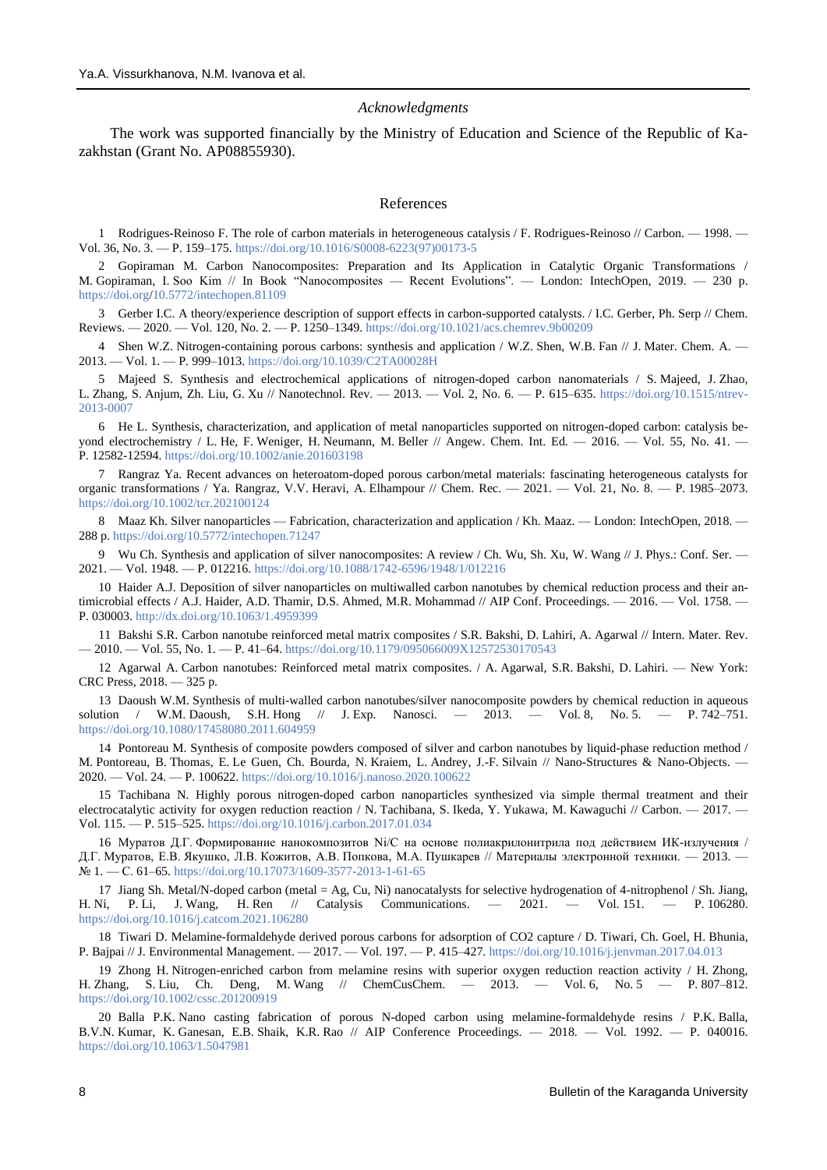#### *Acknowledgments*

The work was supported financially by the Ministry of Education and Science of the Republic of Kazakhstan (Grant No. AP08855930).

### References

1 Rodrigues-Reinoso F. The role of carbon materials in heterogeneous catalysis / F. Rodrigues-Reinoso // Carbon. — 1998. — Vol. 36, No. 3. — P. 159–175[. https://doi.org/10.1016/S0008-6223\(97\)00173-5](https://doi.org/10.1016/S0008-6223(97)00173-5)

2 Gopiraman M. Carbon Nanocomposites: Preparation and Its Application in Catalytic Organic Transformations / M. Gopiraman, I. Soo Kim // In Book "Nanocomposites — Recent Evolutions". — London: IntechOpen, 2019. — 230 p. <https://doi.org/>[10.5772/intechopen.81109](http://dx.doi.org/10.5772/intechopen.81109)

3 Gerber I.C. A theory/experience description of support effects in carbon-supported catalysts. / I.C. Gerber, Ph. Serp // Chem. Reviews. — 2020. — Vol. 120, No. 2. — P. 1250–1349[. https://doi.org/10.1021/acs.chemrev.9b00209](https://doi.org/10.1021/acs.chemrev.9b00209)

4 Shen W.Z. Nitrogen-containing porous carbons: synthesis and application / W.Z. Shen, W.B. Fan // J. Mater. Chem. A. — 2013. — Vol. 1. — P. 999–1013[. https://doi.org/10.1039/C2TA00028H](https://doi.org/10.1039/C2TA00028H)

5 Majeed S. Synthesis and electrochemical applications of nitrogen-doped carbon nanomaterials / S. Majeed, J. Zhao, L. Zhang, S. Anjum, Zh. Liu, G. Xu // Nanotechnol. Rev. — 2013. — Vol. 2, No. 6. — P. 615–635. [https://doi.org/10.1515/ntrev-](https://doi.org/10.1515/ntrev-2013-0007)[2013-0007](https://doi.org/10.1515/ntrev-2013-0007)

6 He L. Synthesis, characterization, and application of metal nanoparticles supported on nitrogen-doped carbon: catalysis beyond electrochemistry / L. He, F. Weniger, H. Neumann, M. Beller // Angew. Chem. Int. Ed. — 2016. — Vol. 55, No. 41. — P. 12582-12594[. https://doi.org/10.1002/anie.201603198](https://doi.org/10.1002/anie.201603198)

7 Rangraz Ya. Recent advances on heteroatom-doped porous carbon/metal materials: fascinating heterogeneous catalysts for organic transformations / Ya. Rangraz, V.V. Heravi, A. Elhampour // Chem. Rec. — 2021. — Vol. 21, No. 8. — P. 1985–2073. [https://doi.org/10.1002/tcr.202100124](https://doi.org/)

8 Maaz Kh. Silver nanoparticles — Fabrication, characterization and application / Kh. Maaz. — London: IntechOpen, 2018. — 288 p[. https://doi.org/10.5772/intechopen.71247](https://doi.org/10.5772/intechopen.71247)

Wu Ch. Synthesis and application of silver nanocomposites: A review / Ch. Wu, Sh. Xu, W. Wang // J. Phys.: Conf. Ser. — 2021. — Vol. 1948. — P. 012216.<https://doi.org/10.1088/1742-6596/1948/1/012216>

10 Haider A.J. Deposition of silver nanoparticles on multiwalled carbon nanotubes by chemical reduction process and their antimicrobial effects / A.J. Haider, A.D. Thamir, D.S. Ahmed, M.R. Mohammad // AIP Conf. Proceedings. — 2016. — Vol. 1758. — P. 030003[. http://dx.doi.org/10.1063/1.4959399](http://dx.doi.org/10.1063/1.4959399)

11 Bakshi S.R. Carbon nanotube reinforced metal matrix composites / S.R. Bakshi, D. Lahiri, A. Agarwal // Intern. Mater. Rev. — 2010. — Vol. 55, No. 1. — P. 41–64[. https://doi.org/10.1179/095066009X12572530170543](https://doi.org/10.1179/095066009X12572530170543)

12 Agarwal A. Carbon nanotubes: Reinforced metal matrix composites. / A. Agarwal, S.R. Bakshi, D. Lahiri. — New York: CRC Press, 2018. — 325 p.

13 Daoush W.M. Synthesis of multi-walled carbon nanotubes/silver nanocomposite powders by chemical reduction in aqueous solution / W.M. Daoush, S.H. Hong // J. Exp. Nanosci. — 2013. — Vol. 8, No. 5. — P. 742–751. <https://doi.org/10.1080/17458080.2011.604959>

14 Pontoreau M. Synthesis of composite powders composed of silver and carbon nanotubes by liquid-phase reduction method / M. Pontoreau, B. Thomas, E. Le Guen, Ch. Bourda, N. Kraiem, L. Andrey, J.-F. Silvain // Nano-Structures & Nano-Objects. — 2020. — Vol. 24. — P. 100622.<https://doi.org/10.1016/j.nanoso.2020.100622>

15 Tachibana N. Highly porous nitrogen-doped carbon nanoparticles synthesized via simple thermal treatment and their electrocatalytic activity for oxygen reduction reaction / N. Tachibana, S. Ikeda, Y. Yukawa, M. Kawaguchi // Carbon. — 2017. — Vol. 115. — P. 515–525[. https://doi.org/10.1016/j.carbon.2017.01.034](https://doi.org/)

16 Муратов Д.Г. Формирование нанокомпозитов Ni/C на основе полиакрилонитрила под действием ИК-излучения / Д.Г. Муратов, Е.В. Якушко, Л.В. Кожитов, А.В. Попкова, М.А. Пушкарев // Материалы электронной техники. — 2013. — № 1. — С. 61–65[. https://doi.org/10.17073/1609-3577-2013-1-61-65](https://doi.org/10.17073/1609-3577-2013-1-61-65)

17 Jiang Sh. Metal/N-doped carbon (metal = Ag, Cu, Ni) nanocatalysts for selective hydrogenation of 4-nitrophenol / Sh. Jiang, H. Ni, P. Li, J. Wang, H. Ren // Catalysis Communications. — 2021. — Vol. 151. — P. 106280. <https://doi.org/10.1016/j.catcom.2021.106280>

18 Tiwari D. Melamine-formaldehyde derived porous carbons for adsorption of CO2 capture / D. Tiwari, Ch. Goel, H. Bhunia, P. Bajpai // J. Environmental Management. — 2017. — Vol. 197. — P. 415–427.<https://doi.org/10.1016/j.jenvman.2017.04.013>

19 Zhong H. Nitrogen-enriched carbon from melamine resins with superior oxygen reduction reaction activity / H. Zhong, H. Zhang, S. Liu, Ch. Deng, M. Wang // ChemCusChem. — 2013. — Vol. 6, No. 5 — P. 807–812. <https://doi.org/10.1002/cssc.201200919>

20 Balla P.K. Nano casting fabrication of porous N-doped carbon using melamine-formaldehyde resins / P.K. Balla, B.V.N. Kumar, K. Ganesan, E.B. Shaik, K.R. Rao // AIP Conference Proceedings. — 2018. — Vol. 1992. — P. 040016. <https://doi.org/10.1063/1.5047981>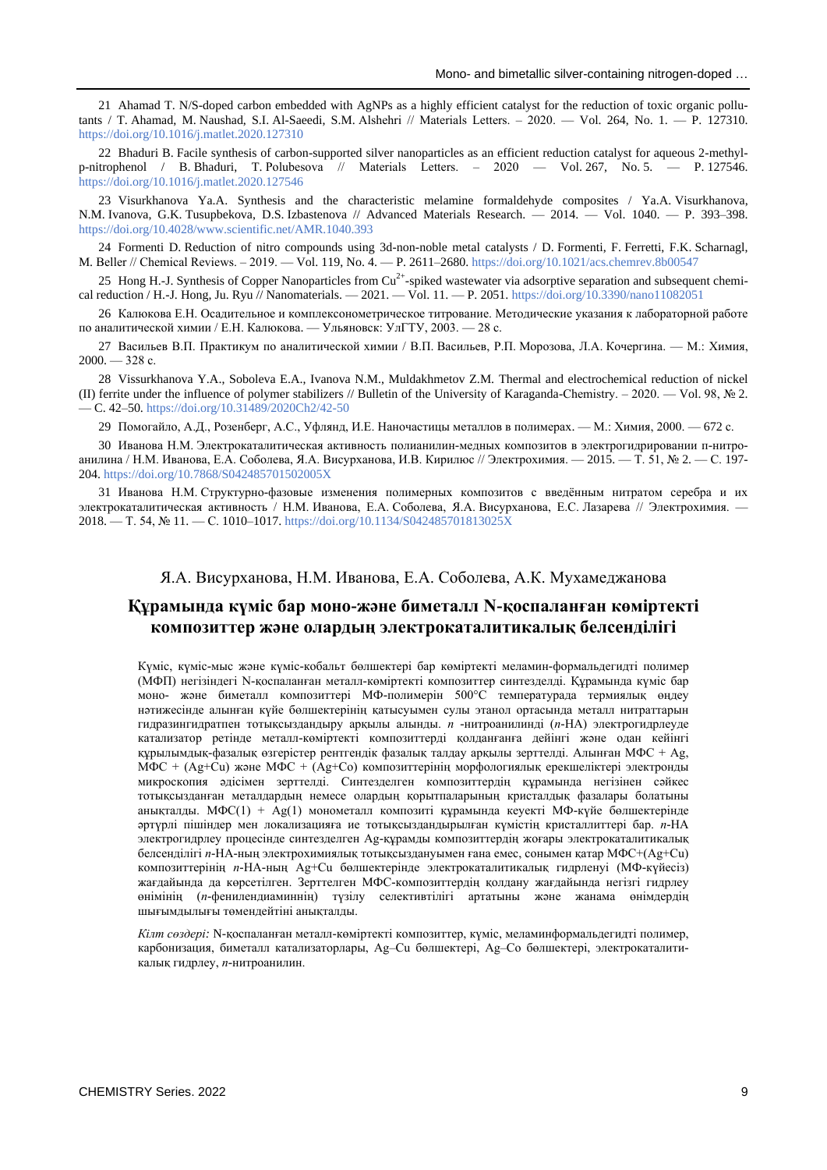21 Ahamad T. N/S-doped carbon embedded with AgNPs as a highly efficient catalyst for the reduction of toxic organic pollutants / T. Ahamad, M. Naushad, S.I. Al-Saeedi, S.M. Alshehri // Materials Letters. ‒ 2020. — Vol. 264, No. 1. — P. 127310. <https://doi.org/10.1016/j.matlet.2020.127310>

22 Bhaduri B. Facile synthesis of carbon-supported silver nanoparticles as an efficient reduction catalyst for aqueous 2-methylp-nitrophenol / B. Bhaduri, T. Polubesova // Materials Letters. ‒ 2020 — Vol. 267, No. 5. — P. 127546. <https://doi.org/10.1016/j.matlet.2020.127546>

23 Visurkhanova Ya.A. Synthesis and the characteristic melamine formaldehyde composites / Ya.A. Visurkhanova, N.M. Ivanova, G.K. Tusupbekova, D.S. Izbastenova // Advanced Materials Research. — 2014. — Vol. 1040. — P. 393–398. <https://doi.org/10.4028/www.scientific.net/AMR.1040.393>

24 Formenti D. Reduction of nitro compounds using 3d-non-noble metal catalysts / D. Formenti, F. Ferretti, F.K. Scharnagl, M. Beller // Chemical Reviews. ‒ 2019. — Vol. 119, No. 4. — P. 2611–2680[. https://doi.org/10.1021/acs.chemrev.8b00547](https://doi.org/10.1021/acs.chemrev.8b00547)

25 Hong H.-J. Synthesis of Copper Nanoparticles from  $Cu^{2+}$ -spiked wastewater via adsorptive separation and subsequent chemi-cal reduction / H.-J. Hong, Ju. Ryu // Nanomaterials. — 2021. — Vol. 11. — P. 2051[. https://doi.org/10.3390/nano11082051](https://doi.org/10.3390/nano11082051)

26 Калюкова Е.Н. Осадительное и комплексонометрическое титрование. Методические указания к лабораторной работе по аналитической химии / Е.Н. Калюкова. — Ульяновск: УлГТУ, 2003. — 28 с.

27 Васильев В.П. Практикум по аналитической химии / В.П. Васильев, Р.П. Морозова, Л.А. Кочергина. — М.: Химия,  $2000. - 328$  c.

28 Vissurkhanova Y.A., Soboleva E.A., Ivanova N.M., Muldakhmetov Z.M. Thermal and electrochemical reduction of nickel (II) ferrite under the influence of polymer stabilizers // Bulletin of the University of Karaganda-Chemistry. – 2020. — Vol. 98, № 2. — C. 42–50[. https://doi.org/10.31489/2020Ch2/42-50](https://doi.org/10.31489/2020Ch2/42-50)

29 Помогайло, А.Д., Розенберг, А.С., Уфлянд, И.Е. Наночастицы металлов в полимерах. — М.: Химия, 2000. — 672 с.

30 Иванова Н.М. Электрокаталитическая активность полианилин-медных композитов в электрогидрировании п-нитроанилина / Н.М. Иванова, Е.А. Соболева, Я.А. Висурханова, И.В. Кирилюс // Электрохимия. — 2015. — Т. 51, № 2. — С. 197- 204[. https://doi.org/10.7868/S042485701502005X](https://doi.org/10.7868/S042485701502005X)

31 Иванова Н.М. Структурно-фазовые изменения полимерных композитов с введённым нитратом серебра и их электрокаталитическая активность / Н.М. Иванова, Е.А. Соболева, Я.А. Висурханова, Е.С. Лазарева // Электрохимия. — 2018. — Т. 54, № 11. — С. 1010–1017.<https://doi.org/10.1134/S042485701813025X>

## Я.А. Висурханова, Н.М. Иванова, Е.А. Соболева, А.К. Мухамеджанова

## **Құрамында күміс бар моно-және биметалл N-қоспаланған көміртекті композиттер және олардың электрокаталитикалық белсенділігі**

Күміс, күміс-мыс және күміс-кобальт бөлшектері бар көміртекті меламин-формальдегидті полимер (МФП) негізіндегі N-қоспаланған металл-көміртекті композиттер синтезделді. Құрамында күміс бар моно- және биметалл композиттері MФ-полимерін 500°С температурада термиялық өңдеу нәтижесінде алынған күйе бөлшектерінің қатысуымен сулы этанол ортасында металл нитраттарын гидразингидратпен тотықсыздандыру арқылы алынды. *п* -нитроанилинді (*п*-НA) электрогидрлеуде катализатор ретінде металл-көміртекті композиттерді қолданғанға дейінгі және одан кейінгі құрылымдық-фазалық өзгерістер рентгендік фазалық талдау арқылы зерттелді. Алынған МФС + Ag, МФС + (Ag+Cu) және МФС + (Ag+Co) композиттерінің морфологиялық ерекшеліктері электронды микроскопия әдісімен зерттелді. Синтезделген композиттердің құрамында негізінен сәйкес тотықсызданған металдардың немесе олардың қорытпаларының кристалдық фазалары болатыны анықталды. МФС(1) + Ag(1) монометалл композиті құрамында кеуекті МФ-күйе бөлшектерінде әртүрлі пішіндер мен локализацияға ие тотықсыздандырылған күмістің кристаллиттері бар. *п*-НА электрогидрлеу процесінде синтезделген Ag-құрамды композиттердің жоғары электрокаталитикалық белсенділігі *п*-НA-ның электрохимиялық тотықсыздануымен ғана емес, сонымен қатар MФС+(Ag+Cu) композиттерінің *п*-НA-ның Ag+Cu бөлшектерінде электрокаталитикалық гидрленуі (MФ-күйесіз) жағдайында да көрсетілген. Зерттелген MФС-композиттердің қолдану жағдайында негізгі гидрлеу өнімінің (*п*-фенилендиаминнің) түзілу селективтілігі артатыны және жанама өнімдердің шығымдылығы төмендейтіні анықталды.

*Кілт сөздері:* N-қоспаланған металл-көміртекті композиттер, күміс, меламинформальдегидті полимер, карбонизация, биметалл катализаторлары, Ag–Cu бөлшектері, Ag–Co бөлшектері, электрокаталитикалық гидрлеу, *п*-нитроанилин.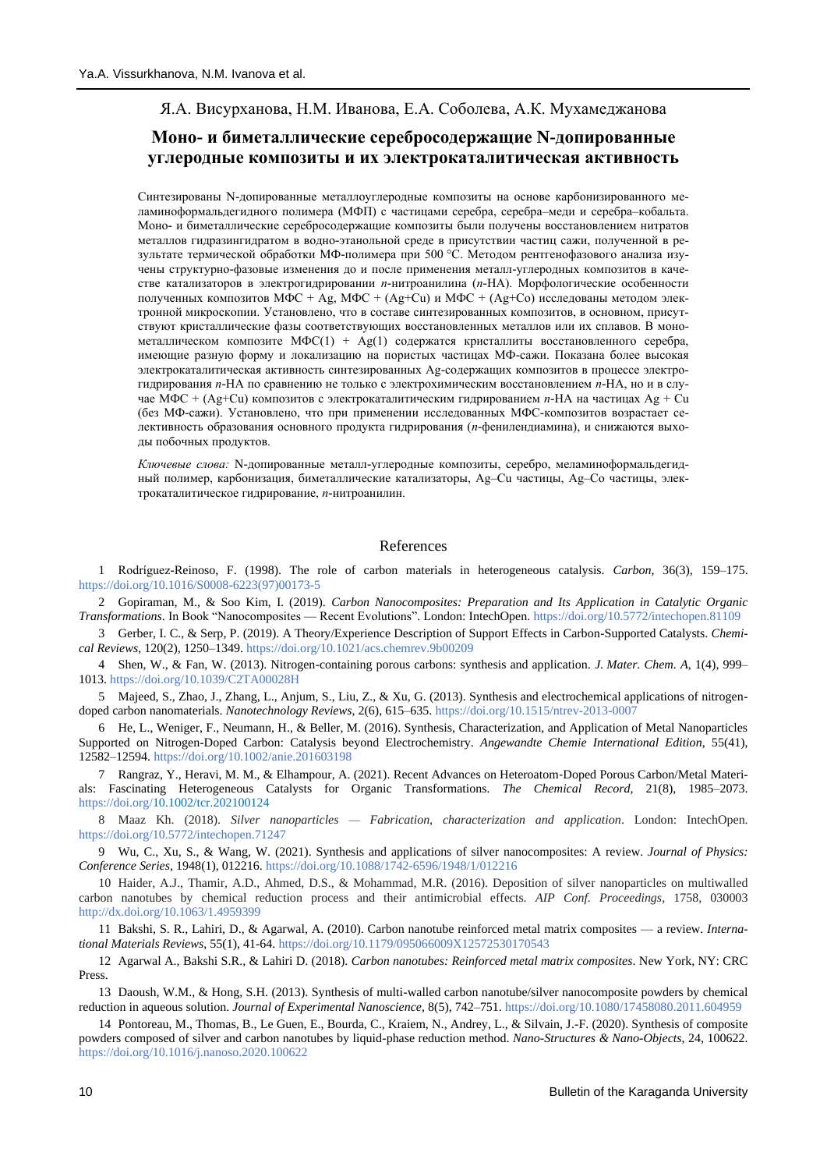# Я.А. Висурханова, Н.М. Иванова, Е.А. Соболева, А.К. Мухамеджанова

## **Моно- и биметаллические серебросодержащие N-допированные углеродные композиты и их электрокаталитическая активность**

Синтезированы N-допированные металлоуглеродные композиты на основе карбонизированного меламиноформальдегидного полимера (МФП) с частицами серебра, серебра–меди и серебра–кобальта. Моно- и биметаллические серебросодержащие композиты были получены восстановлением нитратов металлов гидразингидратом в водно-этанольной среде в присутствии частиц сажи, полученной в результате термической обработки МФ-полимера при 500 °C. Методом рентгенофазового анализа изучены структурно-фазовые изменения до и после применения металл-углеродных композитов в качестве катализаторов в электрогидрировании *п*-нитроанилина (*п*-НА). Морфологические особенности полученных композитов МФС + Ag, МФС + (Ag+Cu) и МФС + (Ag+Co) исследованы методом электронной микроскопии. Установлено, что в составе синтезированных композитов, в основном, присутствуют кристаллические фазы соответствующих восстановленных металлов или их сплавов. В монометаллическом композите MФC(1) + Ag(1) содержатся кристаллиты восстановленного серебра, имеющие разную форму и локализацию на пористых частицах МФ-сажи. Показана более высокая электрокаталитическая активность синтезированных Ag-содержащих композитов в процессе электрогидрирования *п*-НА по сравнению не только с электрохимическим восстановлением *п*-НА, но и в случае МФС + (Ag+Cu) композитов с электрокаталитическим гидрированием *п*-НА на частицах Ag + Cu (без МФ-сажи). Установлено, что при применении исследованных МФС-композитов возрастает селективность образования основного продукта гидрирования (*п-*фенилендиамина), и снижаются выходы побочных продуктов.

*Ключевые слова:* N-допированные металл-углеродные композиты, серебро, меламиноформальдегидный полимер, карбонизация, биметаллические катализаторы, Ag–Cu частицы, Ag–Co частицы, электрокаталитическое гидрирование, *п*-нитроанилин.

## References

1 Rodríguez-Reinoso, F. (1998). The role of carbon materials in heterogeneous catalysis. *Carbon*, 36(3), 159–175. [https://doi.org/10.1016/S0008-6223\(97\)00173-5](https://doi.org/10.1016/S0008-6223(97)00173-5)

2 Gopiraman, M., & Soo Kim, I. (2019). *Carbon Nanocomposites: Preparation and Its Application in Catalytic Organic Transformations*. In Book "Nanocomposites — Recent Evolutions". London: IntechOpen. [https://doi.org](https://doi.org/)[/10.5772/intechopen.81109](http://dx.doi.org/10.5772/intechopen.81109)

3 Gerber, I. C., & Serp, P. (2019). A Theory/Experience Description of Support Effects in Carbon-Supported Catalysts. *Chemical Reviews*, 120(2), 1250–1349. <https://doi.org/10.1021/acs.chemrev.9b00209>

4 Shen, W., & Fan, W. (2013). Nitrogen-containing porous carbons: synthesis and application. *J. Mater. Chem. A*, 1(4), 999– 1013.<https://doi.org/10.1039/C2TA00028H>

5 Majeed, S., Zhao, J., Zhang, L., Anjum, S., Liu, Z., & Xu, G. (2013). Synthesis and electrochemical applications of nitrogendoped carbon nanomaterials. *Nanotechnology Reviews*, 2(6), 615–635[. https://doi.org/10.1515/ntrev-2013-0007](https://doi.org/10.1515/ntrev-2013-0007)

6 He, L., Weniger, F., Neumann, H., & Beller, M. (2016). Synthesis, Characterization, and Application of Metal Nanoparticles Supported on Nitrogen-Doped Carbon: Catalysis beyond Electrochemistry. *Angewandte Chemie International Edition*, 55(41), 12582–12594[. https://doi.org/10.1002/anie.201603198](https://doi.org/10.1002/anie.201603198)

7 Rangraz, Y., Heravi, M. M., & Elhampour, A. (2021). Recent Advances on Heteroatom‐Doped Porous Carbon/Metal Materials: Fascinating Heterogeneous Catalysts for Organic Transformations. *The Chemical Record*, 21(8), 1985–2073. [https://doi.org/10.1002/tcr.202100124](https://doi.org/)

8 Maaz Kh. (2018). *Silver nanoparticles — Fabrication, characterization and application*. London: IntechOpen. <https://doi.org/10.5772/intechopen.71247>

9 Wu, C., Xu, S., & Wang, W. (2021). Synthesis and applications of silver nanocomposites: A review. *Journal of Physics: Conference Series*, 1948(1), 012216[. https://doi.org/10.1088/1742-6596/1948/1/012216](https://doi.org/10.1088/1742-6596/1948/1/012216)

10 Haider, A.J., Thamir, A.D., Ahmed, D.S., & Mohammad, M.R. (2016). Deposition of silver nanoparticles on multiwalled carbon nanotubes by chemical reduction process and their antimicrobial effects. *AIP Conf. Proceedings*, 1758, 030003 <http://dx.doi.org/10.1063/1.4959399>

11 Bakshi, S. R., Lahiri, D., & Agarwal, A. (2010). Carbon nanotube reinforced metal matrix composites — a review. *International Materials Reviews*, 55(1), 41-64[. https://doi.org/10.1179/095066009X12572530170543](https://doi.org/10.1179/095066009X12572530170543)

12 Agarwal A., Bakshi S.R., & Lahiri D. (2018). *Carbon nanotubes: Reinforced metal matrix composites*. New York, NY: CRC Press.

13 Daoush, W.M., & Hong, S.H. (2013). Synthesis of multi-walled carbon nanotube/silver nanocomposite powders by chemical reduction in aqueous solution. *Journal of Experimental Nanoscience*, 8(5), 742–751[. https://doi.org/10.1080/17458080.2011.604959](https://doi.org/10.1080/17458080.2011.604959)

14 Pontoreau, M., Thomas, B., Le Guen, E., Bourda, C., Kraiem, N., Andrey, L., & Silvain, J.-F. (2020). Synthesis of composite powders composed of silver and carbon nanotubes by liquid-phase reduction method. *Nano-Structures & Nano-Objects*, 24, 100622. <https://doi.org/10.1016/j.nanoso.2020.100622>